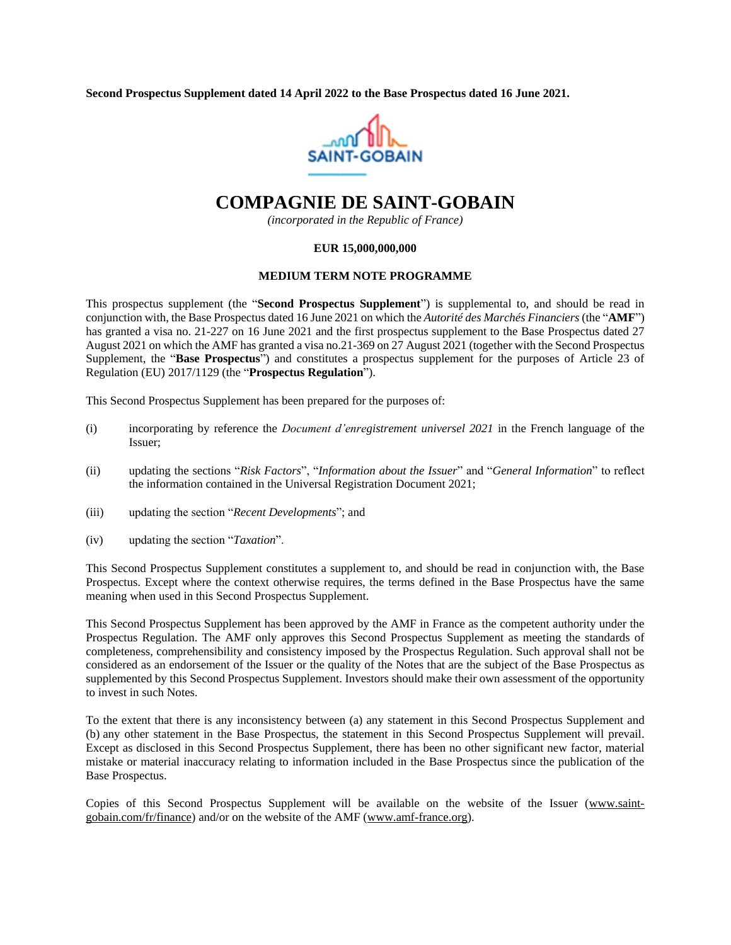**Second Prospectus Supplement dated 14 April 2022 to the Base Prospectus dated 16 June 2021.**



# **COMPAGNIE DE SAINT-GOBAIN**

*(incorporated in the Republic of France)*

#### **EUR 15,000,000,000**

#### **MEDIUM TERM NOTE PROGRAMME**

This prospectus supplement (the "**Second Prospectus Supplement**") is supplemental to, and should be read in conjunction with, the Base Prospectus dated 16 June 2021 on which the *Autorité des Marchés Financiers* (the "**AMF**") has granted a visa no. 21-227 on 16 June 2021 and the first prospectus supplement to the Base Prospectus dated 27 August 2021 on which the AMF has granted a visa no.21-369 on 27 August 2021 (together with the Second Prospectus Supplement, the "**Base Prospectus**") and constitutes a prospectus supplement for the purposes of Article 23 of Regulation (EU) 2017/1129 (the "**Prospectus Regulation**").

This Second Prospectus Supplement has been prepared for the purposes of:

- (i) incorporating by reference the *Document d'enregistrement universel 2021* in the French language of the Issuer;
- (ii) updating the sections "*Risk Factors*", "*Information about the Issuer*" and "*General Information*" to reflect the information contained in the Universal Registration Document 2021;
- (iii) updating the section "*Recent Developments*"; and
- (iv) updating the section "*Taxation*".

This Second Prospectus Supplement constitutes a supplement to, and should be read in conjunction with, the Base Prospectus. Except where the context otherwise requires, the terms defined in the Base Prospectus have the same meaning when used in this Second Prospectus Supplement.

This Second Prospectus Supplement has been approved by the AMF in France as the competent authority under the Prospectus Regulation. The AMF only approves this Second Prospectus Supplement as meeting the standards of completeness, comprehensibility and consistency imposed by the Prospectus Regulation. Such approval shall not be considered as an endorsement of the Issuer or the quality of the Notes that are the subject of the Base Prospectus as supplemented by this Second Prospectus Supplement. Investors should make their own assessment of the opportunity to invest in such Notes.

To the extent that there is any inconsistency between (a) any statement in this Second Prospectus Supplement and (b) any other statement in the Base Prospectus, the statement in this Second Prospectus Supplement will prevail. Except as disclosed in this Second Prospectus Supplement, there has been no other significant new factor, material mistake or material inaccuracy relating to information included in the Base Prospectus since the publication of the Base Prospectus.

Copies of this Second Prospectus Supplement will be available on the website of the Issuer [\(www.saint](http://www.saint-gobain.com/fr/finance))[gobain.com/fr/finance\)](http://www.saint-gobain.com/fr/finance)) and/or on the website of the AMF (www.amf-france.org).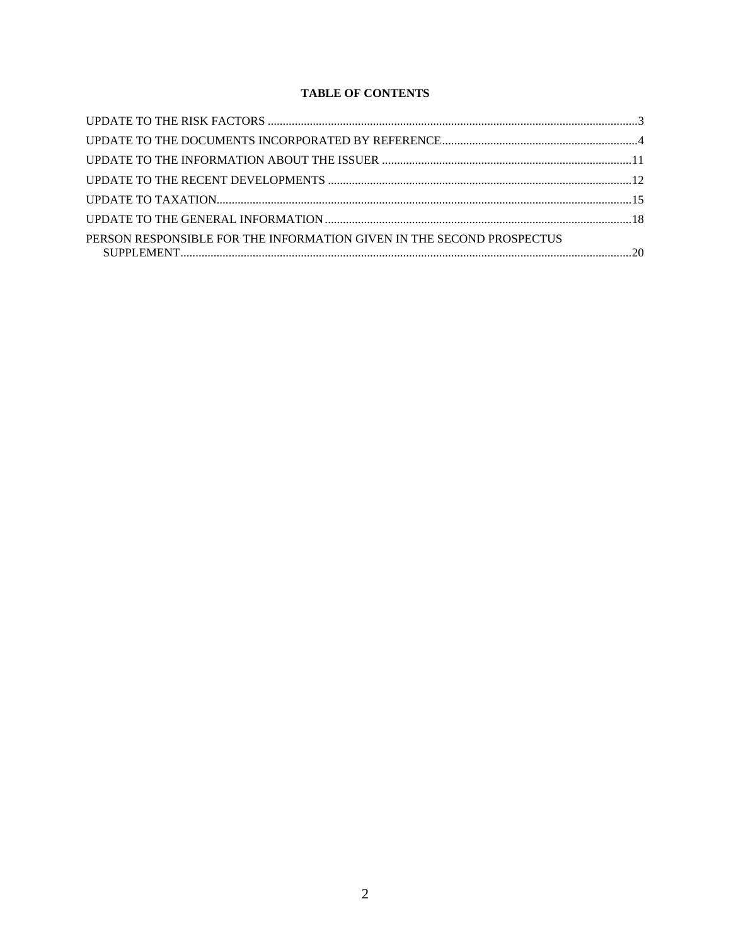# **TABLE OF CONTENTS**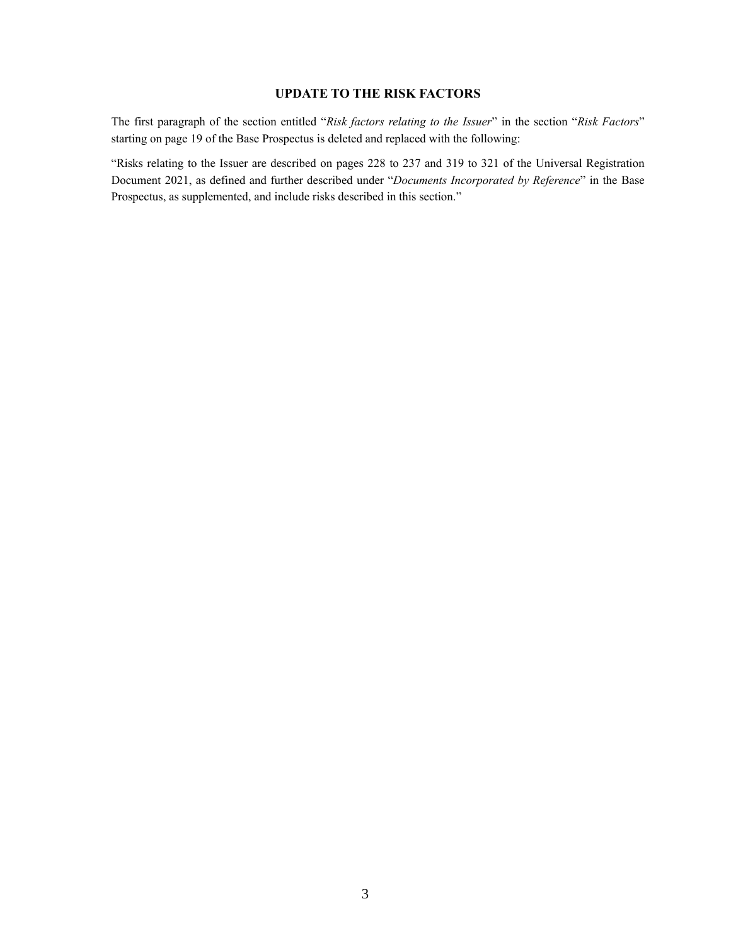## **UPDATE TO THE RISK FACTORS**

<span id="page-2-0"></span>The first paragraph of the section entitled "*Risk factors relating to the Issuer*" in the section "*Risk Factors*" starting on page 19 of the Base Prospectus is deleted and replaced with the following:

"Risks relating to the Issuer are described on pages 228 to 237 and 319 to 321 of the Universal Registration Document 2021, as defined and further described under "*Documents Incorporated by Reference*" in the Base Prospectus, as supplemented, and include risks described in this section."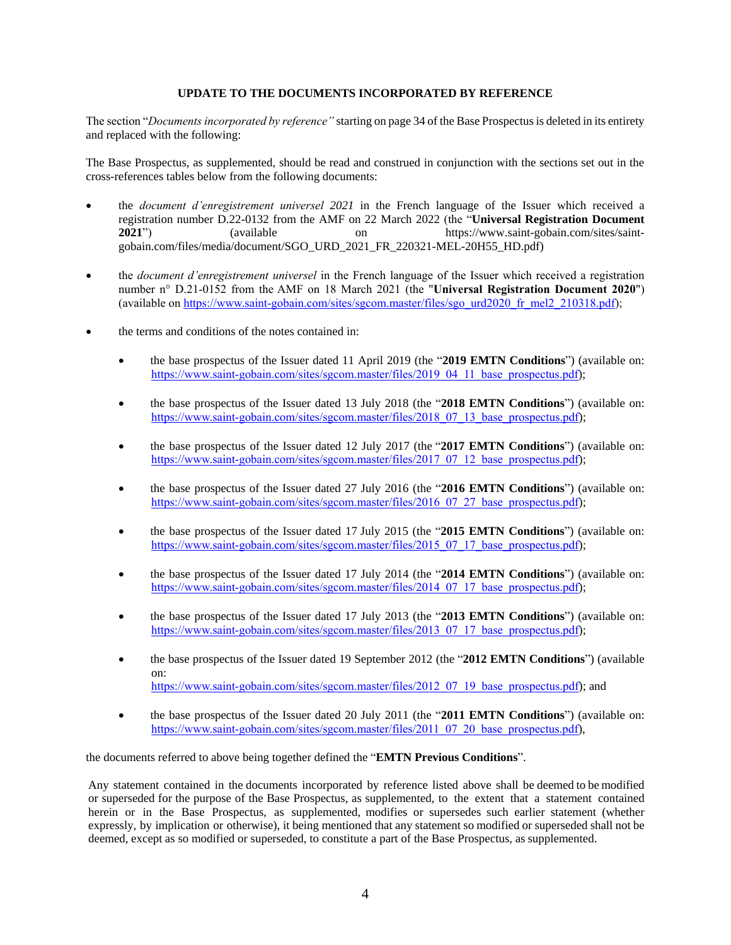## **UPDATE TO THE DOCUMENTS INCORPORATED BY REFERENCE**

<span id="page-3-0"></span>The section "*Documents incorporated by reference"* starting on page 34 of the Base Prospectus is deleted in its entirety and replaced with the following:

The Base Prospectus, as supplemented, should be read and construed in conjunction with the sections set out in the cross-references tables below from the following documents:

- the *document d'enregistrement universel 2021* in the French language of the Issuer which received a registration number D.22-0132 from the AMF on 22 March 2022 (the "**Universal Registration Document 2021**") (available on https://www.saint-gobain.com/sites/saintgobain.com/files/media/document/SGO\_URD\_2021\_FR\_220321-MEL-20H55\_HD.pdf)
- the *document d'enregistrement universel* in the French language of the Issuer which received a registration number n° D.21-0152 from the AMF on 18 March 2021 (the "**Universal Registration Document 2020**") (available on [https://www.saint-gobain.com/sites/sgcom.master/files/sgo\\_urd2020\\_fr\\_mel2\\_210318.pdf\)](https://www.saint-gobain.com/sites/sgcom.master/files/sgo_urd2020_fr_mel2_210318.pdf);
- the terms and conditions of the notes contained in:
	- the base prospectus of the Issuer dated 11 April 2019 (the "**2019 EMTN Conditions**") (available on: [https://www.saint-gobain.com/sites/sgcom.master/files/2019\\_04\\_11\\_base\\_prospectus.pdf\)](https://www.saint-gobain.com/sites/sgcom.master/files/2019_04_11_base_prospectus.pdf);
	- the base prospectus of the Issuer dated 13 July 2018 (the "**2018 EMTN Conditions**") (available on: [https://www.saint-gobain.com/sites/sgcom.master/files/2018\\_07\\_13\\_base\\_prospectus.pdf\)](https://www.saint-gobain.com/sites/sgcom.master/files/2018_07_13_base_prospectus.pdf);
	- the base prospectus of the Issuer dated 12 July 2017 (the "**2017 EMTN Conditions**") (available on: [https://www.saint-gobain.com/sites/sgcom.master/files/2017\\_07\\_12\\_base\\_prospectus.pdf\)](https://www.saint-gobain.com/sites/sgcom.master/files/2017_07_12_base_prospectus.pdf);
	- the base prospectus of the Issuer dated 27 July 2016 (the "**2016 EMTN Conditions**") (available on: [https://www.saint-gobain.com/sites/sgcom.master/files/2016\\_07\\_27\\_base\\_prospectus.pdf\)](https://www.saint-gobain.com/sites/sgcom.master/files/2016_07_27_base_prospectus.pdf);
	- the base prospectus of the Issuer dated 17 July 2015 (the "**2015 EMTN Conditions**") (available on: [https://www.saint-gobain.com/sites/sgcom.master/files/2015\\_07\\_17\\_base\\_prospectus.pdf\)](https://www.saint-gobain.com/sites/sgcom.master/files/2015_07_17_base_prospectus.pdf);
	- the base prospectus of the Issuer dated 17 July 2014 (the "**2014 EMTN Conditions**") (available on: [https://www.saint-gobain.com/sites/sgcom.master/files/2014\\_07\\_17\\_base\\_prospectus.pdf\)](https://www.saint-gobain.com/sites/sgcom.master/files/2014_07_17_base_prospectus.pdf);
	- the base prospectus of the Issuer dated 17 July 2013 (the "**2013 EMTN Conditions**") (available on: [https://www.saint-gobain.com/sites/sgcom.master/files/2013\\_07\\_17\\_base\\_prospectus.pdf\)](https://www.saint-gobain.com/sites/sgcom.master/files/2013_07_17_base_prospectus.pdf);
	- the base prospectus of the Issuer dated 19 September 2012 (the "**2012 EMTN Conditions**") (available on: [https://www.saint-gobain.com/sites/sgcom.master/files/2012\\_07\\_19\\_base\\_prospectus.pdf\)](https://www.saint-gobain.com/sites/sgcom.master/files/2012_07_19_base_prospectus.pdf); and
	- the base prospectus of the Issuer dated 20 July 2011 (the "**2011 EMTN Conditions**") (available on: [https://www.saint-gobain.com/sites/sgcom.master/files/2011\\_07\\_20\\_base\\_prospectus.pdf\)](https://www.saint-gobain.com/sites/sgcom.master/files/2011_07_20_base_prospectus.pdf),

the documents referred to above being together defined the "**EMTN Previous Conditions**".

Any statement contained in the documents incorporated by reference listed above shall be deemed to be modified or superseded for the purpose of the Base Prospectus, as supplemented, to the extent that a statement contained herein or in the Base Prospectus, as supplemented, modifies or supersedes such earlier statement (whether expressly, by implication or otherwise), it being mentioned that any statement so modified or superseded shall not be deemed, except as so modified or superseded, to constitute a part of the Base Prospectus, as supplemented.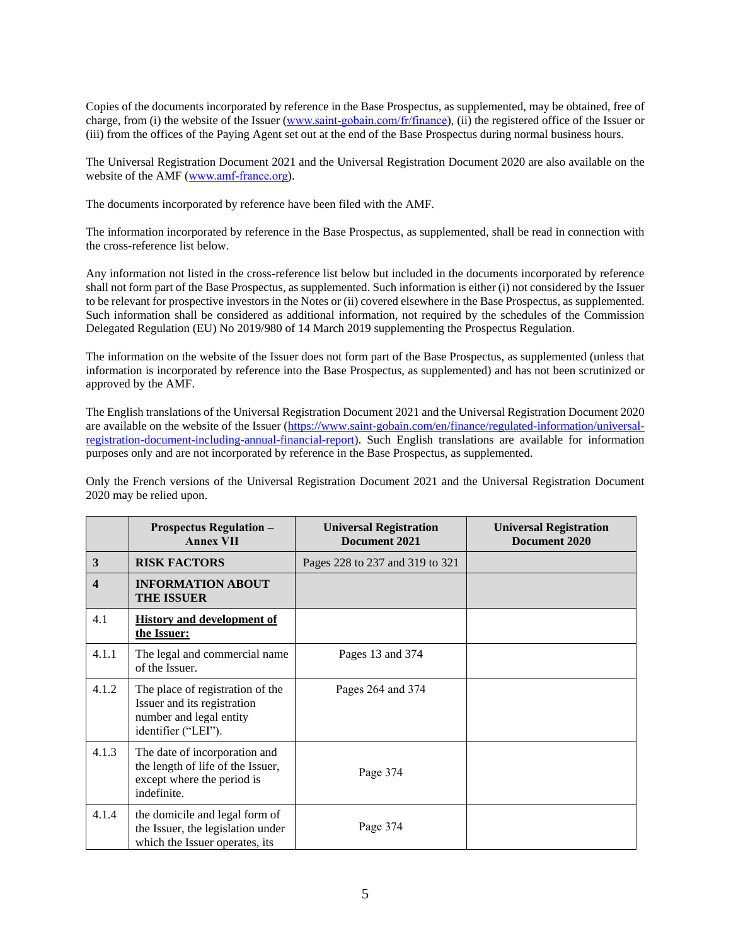Copies of the documents incorporated by reference in the Base Prospectus, as supplemented, may be obtained, free of charge, from (i) the website of the Issuer [\(www.saint-gobain.com/fr/finance\)](https://www.saint-gobain.com/fr/finance), (ii) the registered office of the Issuer or (iii) from the offices of the Paying Agent set out at the end of the Base Prospectus during normal business hours.

The Universal Registration Document 2021 and the Universal Registration Document 2020 are also available on the website of the AMF [\(www.amf-france.org\)](http://www.amf-france.org/).

The documents incorporated by reference have been filed with the AMF.

The information incorporated by reference in the Base Prospectus, as supplemented, shall be read in connection with the cross-reference list below.

Any information not listed in the cross-reference list below but included in the documents incorporated by reference shall not form part of the Base Prospectus, as supplemented. Such information is either (i) not considered by the Issuer to be relevant for prospective investors in the Notes or (ii) covered elsewhere in the Base Prospectus, as supplemented. Such information shall be considered as additional information, not required by the schedules of the Commission Delegated Regulation (EU) No 2019/980 of 14 March 2019 supplementing the Prospectus Regulation.

The information on the website of the Issuer does not form part of the Base Prospectus, as supplemented (unless that information is incorporated by reference into the Base Prospectus, as supplemented) and has not been scrutinized or approved by the AMF.

The English translations of the Universal Registration Document 2021 and the Universal Registration Document 2020 are available on the website of the Issuer [\(https://www.saint-gobain.com/en/finance/regulated-information/universal](https://www.saint-gobain.com/en/finance/regulated-information/universal-registration-document-including-annual-financial-report)[registration-document-including-annual-financial-report\)](https://www.saint-gobain.com/en/finance/regulated-information/universal-registration-document-including-annual-financial-report). Such English translations are available for information purposes only and are not incorporated by reference in the Base Prospectus, as supplemented.

Only the French versions of the Universal Registration Document 2021 and the Universal Registration Document 2020 may be relied upon.

|                         | <b>Prospectus Regulation -</b><br><b>Annex VII</b>                                                                | <b>Universal Registration</b><br>Document 2021 | <b>Universal Registration</b><br>Document 2020 |
|-------------------------|-------------------------------------------------------------------------------------------------------------------|------------------------------------------------|------------------------------------------------|
| $\mathbf{3}$            | <b>RISK FACTORS</b>                                                                                               | Pages 228 to 237 and 319 to 321                |                                                |
| $\overline{\mathbf{4}}$ | <b>INFORMATION ABOUT</b><br><b>THE ISSUER</b>                                                                     |                                                |                                                |
| 4.1                     | <b>History and development of</b><br>the Issuer:                                                                  |                                                |                                                |
| 4.1.1                   | The legal and commercial name<br>of the Issuer.                                                                   | Pages 13 and 374                               |                                                |
| 4.1.2                   | The place of registration of the<br>Issuer and its registration<br>number and legal entity<br>identifier ("LEI"). | Pages 264 and 374                              |                                                |
| 4.1.3                   | The date of incorporation and<br>the length of life of the Issuer,<br>except where the period is<br>indefinite.   | Page 374                                       |                                                |
| 4.1.4                   | the domicile and legal form of<br>the Issuer, the legislation under<br>which the Issuer operates, its             | Page 374                                       |                                                |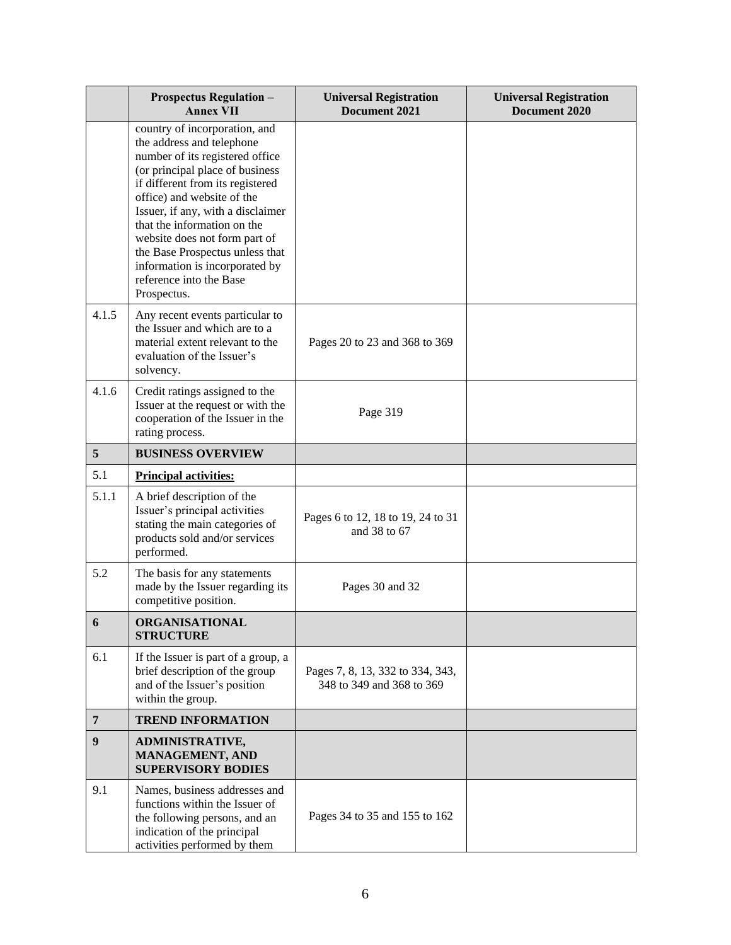|                | <b>Prospectus Regulation -</b><br><b>Annex VII</b>                                                                                                                                                                                                                                                                                                                                                                     | <b>Universal Registration</b><br>Document 2021                | <b>Universal Registration</b><br>Document 2020 |
|----------------|------------------------------------------------------------------------------------------------------------------------------------------------------------------------------------------------------------------------------------------------------------------------------------------------------------------------------------------------------------------------------------------------------------------------|---------------------------------------------------------------|------------------------------------------------|
|                | country of incorporation, and<br>the address and telephone<br>number of its registered office<br>(or principal place of business<br>if different from its registered<br>office) and website of the<br>Issuer, if any, with a disclaimer<br>that the information on the<br>website does not form part of<br>the Base Prospectus unless that<br>information is incorporated by<br>reference into the Base<br>Prospectus. |                                                               |                                                |
| 4.1.5          | Any recent events particular to<br>the Issuer and which are to a<br>material extent relevant to the<br>evaluation of the Issuer's<br>solvency.                                                                                                                                                                                                                                                                         | Pages 20 to 23 and 368 to 369                                 |                                                |
| 4.1.6          | Credit ratings assigned to the<br>Issuer at the request or with the<br>cooperation of the Issuer in the<br>rating process.                                                                                                                                                                                                                                                                                             | Page 319                                                      |                                                |
| 5              | <b>BUSINESS OVERVIEW</b>                                                                                                                                                                                                                                                                                                                                                                                               |                                                               |                                                |
| 5.1            | <b>Principal activities:</b>                                                                                                                                                                                                                                                                                                                                                                                           |                                                               |                                                |
| 5.1.1          | A brief description of the<br>Issuer's principal activities<br>stating the main categories of<br>products sold and/or services<br>performed.                                                                                                                                                                                                                                                                           | Pages 6 to 12, 18 to 19, 24 to 31<br>and 38 to 67             |                                                |
| 5.2            | The basis for any statements<br>made by the Issuer regarding its<br>competitive position.                                                                                                                                                                                                                                                                                                                              | Pages 30 and 32                                               |                                                |
| 6              | ORGANISATIONAL<br><b>STRUCTURE</b>                                                                                                                                                                                                                                                                                                                                                                                     |                                                               |                                                |
| 6.1            | If the Issuer is part of a group, a<br>brief description of the group<br>and of the Issuer's position<br>within the group.                                                                                                                                                                                                                                                                                             | Pages 7, 8, 13, 332 to 334, 343,<br>348 to 349 and 368 to 369 |                                                |
| $\overline{7}$ | <b>TREND INFORMATION</b>                                                                                                                                                                                                                                                                                                                                                                                               |                                                               |                                                |
| 9              | <b>ADMINISTRATIVE,</b><br><b>MANAGEMENT, AND</b><br><b>SUPERVISORY BODIES</b>                                                                                                                                                                                                                                                                                                                                          |                                                               |                                                |
| 9.1            | Names, business addresses and<br>functions within the Issuer of<br>the following persons, and an<br>indication of the principal<br>activities performed by them                                                                                                                                                                                                                                                        | Pages 34 to 35 and 155 to 162                                 |                                                |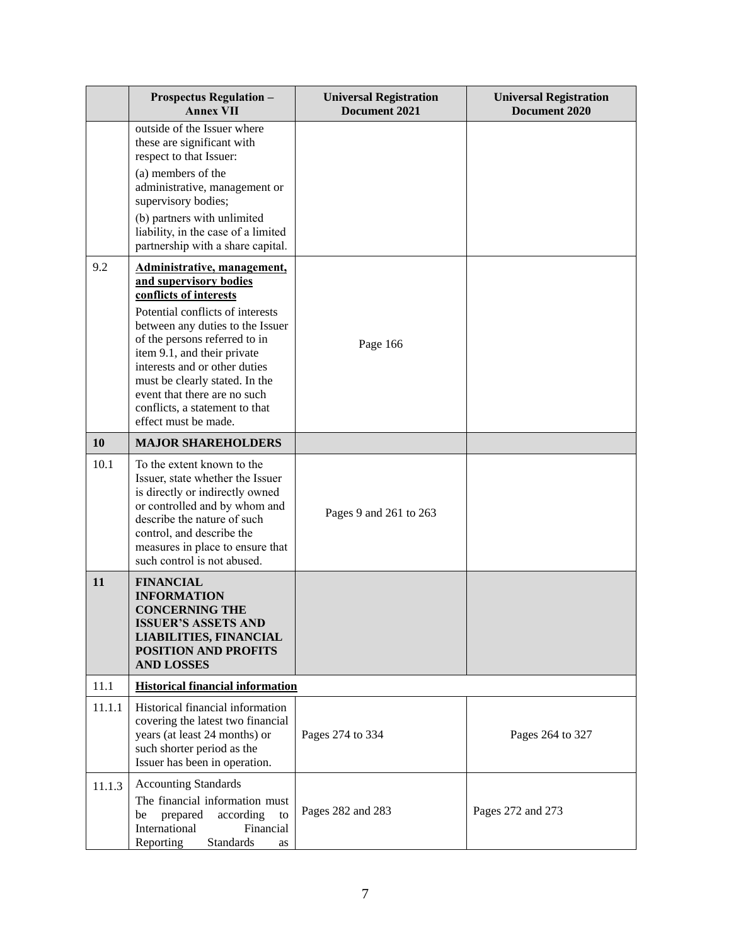|           | <b>Prospectus Regulation -</b><br><b>Annex VII</b>                                                                                                                                                                                                                | <b>Universal Registration</b><br>Document 2021 | <b>Universal Registration</b><br>Document 2020 |
|-----------|-------------------------------------------------------------------------------------------------------------------------------------------------------------------------------------------------------------------------------------------------------------------|------------------------------------------------|------------------------------------------------|
|           | outside of the Issuer where<br>these are significant with<br>respect to that Issuer:                                                                                                                                                                              |                                                |                                                |
|           | (a) members of the<br>administrative, management or<br>supervisory bodies;                                                                                                                                                                                        |                                                |                                                |
|           | (b) partners with unlimited<br>liability, in the case of a limited<br>partnership with a share capital.                                                                                                                                                           |                                                |                                                |
| 9.2       | Administrative, management,<br>and supervisory bodies<br>conflicts of interests<br>Potential conflicts of interests<br>between any duties to the Issuer                                                                                                           |                                                |                                                |
|           | of the persons referred to in<br>item 9.1, and their private<br>interests and or other duties<br>must be clearly stated. In the<br>event that there are no such<br>conflicts, a statement to that<br>effect must be made.                                         | Page 166                                       |                                                |
| <b>10</b> | <b>MAJOR SHAREHOLDERS</b>                                                                                                                                                                                                                                         |                                                |                                                |
| 10.1      | To the extent known to the<br>Issuer, state whether the Issuer<br>is directly or indirectly owned<br>or controlled and by whom and<br>describe the nature of such<br>control, and describe the<br>measures in place to ensure that<br>such control is not abused. | Pages 9 and 261 to 263                         |                                                |
| 11        | <b>FINANCIAL</b><br><b>INFORMATION</b><br><b>CONCERNING THE</b><br>ISSUER'S ASSETS AND<br><b>LIABILITIES, FINANCIAL</b><br><b>POSITION AND PROFITS</b><br><b>AND LOSSES</b>                                                                                       |                                                |                                                |
| 11.1      | <b>Historical financial information</b>                                                                                                                                                                                                                           |                                                |                                                |
| 11.1.1    | Historical financial information<br>covering the latest two financial<br>years (at least 24 months) or<br>such shorter period as the<br>Issuer has been in operation.                                                                                             | Pages 274 to 334                               | Pages 264 to 327                               |
| 11.1.3    | <b>Accounting Standards</b><br>The financial information must<br>prepared<br>according<br>be<br>to<br>International<br>Financial<br><b>Standards</b><br>Reporting<br>as                                                                                           | Pages 282 and 283                              | Pages 272 and 273                              |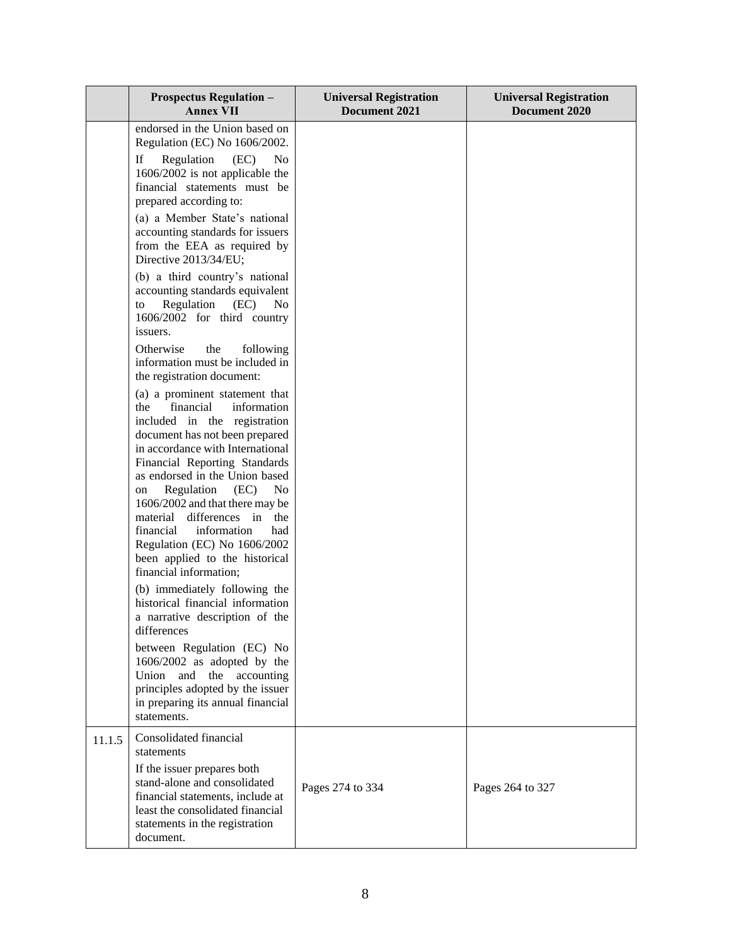|        | <b>Prospectus Regulation -</b><br><b>Annex VII</b>                                                                                                                                                                                                                                                                                                                                                                                                                                        | <b>Universal Registration</b><br>Document 2021 | <b>Universal Registration</b><br>Document 2020 |
|--------|-------------------------------------------------------------------------------------------------------------------------------------------------------------------------------------------------------------------------------------------------------------------------------------------------------------------------------------------------------------------------------------------------------------------------------------------------------------------------------------------|------------------------------------------------|------------------------------------------------|
|        | endorsed in the Union based on<br>Regulation (EC) No 1606/2002.<br>If<br>Regulation<br>(EC)<br>N <sub>0</sub><br>1606/2002 is not applicable the<br>financial statements must be<br>prepared according to:<br>(a) a Member State's national<br>accounting standards for issuers<br>from the EEA as required by                                                                                                                                                                            |                                                |                                                |
|        | Directive 2013/34/EU;<br>(b) a third country's national<br>accounting standards equivalent<br>Regulation<br>(EC)<br>N <sub>0</sub><br>to<br>1606/2002 for third country<br>issuers.<br>Otherwise<br>the<br>following                                                                                                                                                                                                                                                                      |                                                |                                                |
|        | information must be included in<br>the registration document:<br>(a) a prominent statement that<br>financial<br>the<br>information<br>included in the registration<br>document has not been prepared<br>in accordance with International<br>Financial Reporting Standards<br>as endorsed in the Union based<br>Regulation<br>(EC)<br>No.<br>on<br>1606/2002 and that there may be<br>material<br>differences in<br>the<br>financial<br>information<br>had<br>Regulation (EC) No 1606/2002 |                                                |                                                |
|        | been applied to the historical<br>financial information;<br>(b) immediately following the<br>historical financial information<br>a narrative description of the<br>differences<br>between Regulation (EC) No<br>1606/2002 as adopted by the<br>the accounting<br>and<br>Union<br>principles adopted by the issuer<br>in preparing its annual financial<br>statements.                                                                                                                     |                                                |                                                |
| 11.1.5 | Consolidated financial<br>statements<br>If the issuer prepares both<br>stand-alone and consolidated<br>financial statements, include at<br>least the consolidated financial<br>statements in the registration<br>document.                                                                                                                                                                                                                                                                | Pages 274 to 334                               | Pages 264 to 327                               |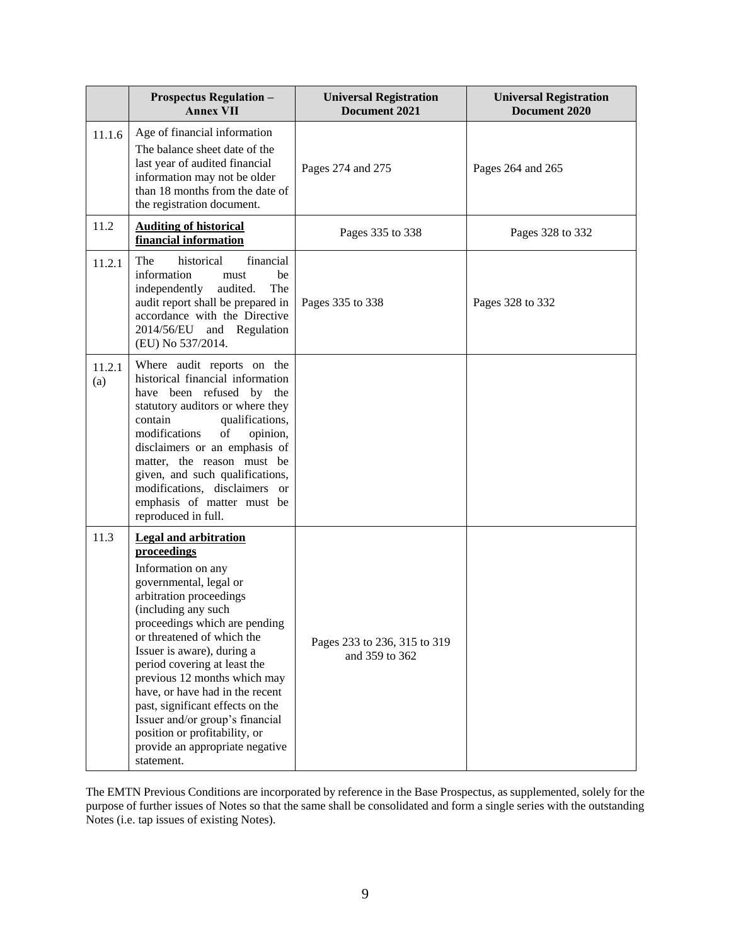|               | <b>Prospectus Regulation -</b><br><b>Annex VII</b>                                                                                                                                                                                                                                                                                                                                                                                                                                                     | <b>Universal Registration</b><br>Document 2021 | <b>Universal Registration</b><br>Document 2020 |
|---------------|--------------------------------------------------------------------------------------------------------------------------------------------------------------------------------------------------------------------------------------------------------------------------------------------------------------------------------------------------------------------------------------------------------------------------------------------------------------------------------------------------------|------------------------------------------------|------------------------------------------------|
| 11.1.6        | Age of financial information<br>The balance sheet date of the<br>last year of audited financial<br>information may not be older<br>than 18 months from the date of<br>the registration document.                                                                                                                                                                                                                                                                                                       | Pages 274 and 275                              | Pages 264 and 265                              |
| 11.2          | <b>Auditing of historical</b><br>financial information                                                                                                                                                                                                                                                                                                                                                                                                                                                 | Pages 335 to 338                               | Pages 328 to 332                               |
| 11.2.1        | The<br>historical<br>financial<br>information<br>be<br>must<br>independently<br>audited.<br>The<br>audit report shall be prepared in<br>accordance with the Directive<br>2014/56/EU<br>and Regulation<br>(EU) No 537/2014.                                                                                                                                                                                                                                                                             | Pages 335 to 338                               | Pages 328 to 332                               |
| 11.2.1<br>(a) | Where audit reports on the<br>historical financial information<br>have been refused by the<br>statutory auditors or where they<br>contain<br>qualifications,<br>of<br>modifications<br>opinion,<br>disclaimers or an emphasis of<br>matter, the reason must be<br>given, and such qualifications,<br>modifications, disclaimers or<br>emphasis of matter must be<br>reproduced in full.                                                                                                                |                                                |                                                |
| 11.3          | <b>Legal and arbitration</b><br>proceedings<br>Information on any<br>governmental, legal or<br>arbitration proceedings<br>(including any such<br>proceedings which are pending<br>or threatened of which the<br>Issuer is aware), during a<br>period covering at least the<br>previous 12 months which may<br>have, or have had in the recent<br>past, significant effects on the<br>Issuer and/or group's financial<br>position or profitability, or<br>provide an appropriate negative<br>statement. | Pages 233 to 236, 315 to 319<br>and 359 to 362 |                                                |

The EMTN Previous Conditions are incorporated by reference in the Base Prospectus, as supplemented, solely for the purpose of further issues of Notes so that the same shall be consolidated and form a single series with the outstanding Notes (i.e. tap issues of existing Notes).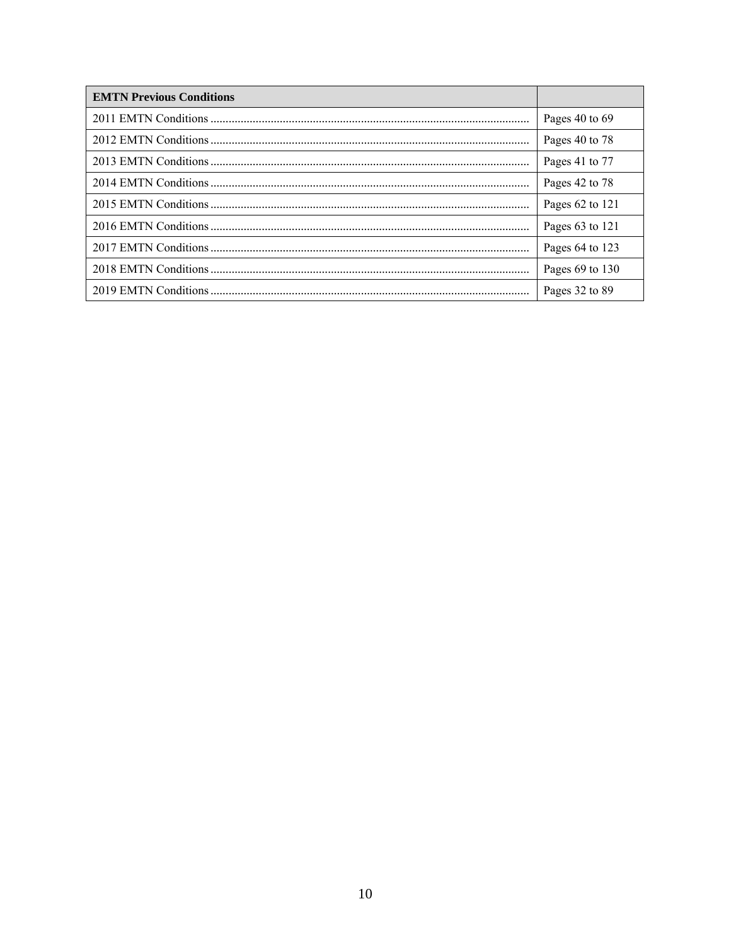| <b>EMTN Previous Conditions</b> |                     |
|---------------------------------|---------------------|
|                                 | Pages 40 to 69      |
|                                 | Pages 40 to 78      |
|                                 | Pages 41 to 77      |
|                                 | Pages 42 to 78      |
|                                 | Pages 62 to 121     |
|                                 | Pages $63$ to $121$ |
|                                 | Pages 64 to 123     |
|                                 | Pages 69 to 130     |
|                                 | Pages 32 to 89      |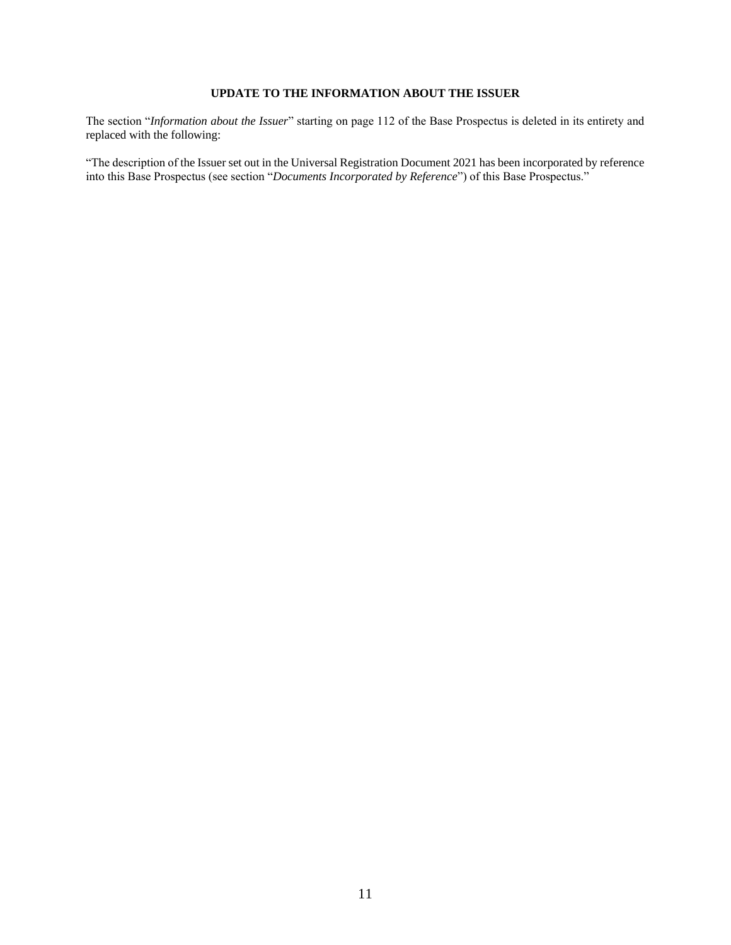## **UPDATE TO THE INFORMATION ABOUT THE ISSUER**

<span id="page-10-0"></span>The section "*Information about the Issuer*" starting on page 112 of the Base Prospectus is deleted in its entirety and replaced with the following:

"The description of the Issuer set out in the Universal Registration Document 2021 has been incorporated by reference into this Base Prospectus (see section "*Documents Incorporated by Reference*") of this Base Prospectus."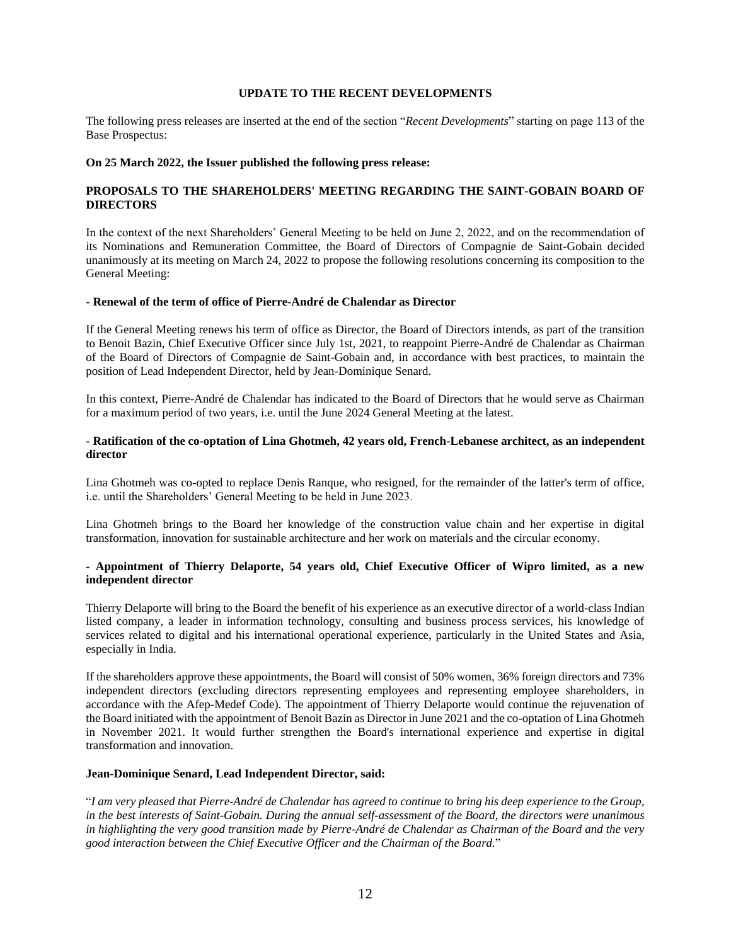#### **UPDATE TO THE RECENT DEVELOPMENTS**

<span id="page-11-0"></span>The following press releases are inserted at the end of the section "*Recent Developments*" starting on page 113 of the Base Prospectus:

#### **On 25 March 2022, the Issuer published the following press release:**

## **PROPOSALS TO THE SHAREHOLDERS' MEETING REGARDING THE SAINT-GOBAIN BOARD OF DIRECTORS**

In the context of the next Shareholders' General Meeting to be held on June 2, 2022, and on the recommendation of its Nominations and Remuneration Committee, the Board of Directors of Compagnie de Saint-Gobain decided unanimously at its meeting on March 24, 2022 to propose the following resolutions concerning its composition to the General Meeting:

#### **- Renewal of the term of office of Pierre-André de Chalendar as Director**

If the General Meeting renews his term of office as Director, the Board of Directors intends, as part of the transition to Benoit Bazin, Chief Executive Officer since July 1st, 2021, to reappoint Pierre-André de Chalendar as Chairman of the Board of Directors of Compagnie de Saint-Gobain and, in accordance with best practices, to maintain the position of Lead Independent Director, held by Jean-Dominique Senard.

In this context, Pierre-André de Chalendar has indicated to the Board of Directors that he would serve as Chairman for a maximum period of two years, i.e. until the June 2024 General Meeting at the latest.

## **- Ratification of the co-optation of Lina Ghotmeh, 42 years old, French-Lebanese architect, as an independent director**

Lina Ghotmeh was co-opted to replace Denis Ranque, who resigned, for the remainder of the latter's term of office, i.e. until the Shareholders' General Meeting to be held in June 2023.

Lina Ghotmeh brings to the Board her knowledge of the construction value chain and her expertise in digital transformation, innovation for sustainable architecture and her work on materials and the circular economy.

## **- Appointment of Thierry Delaporte, 54 years old, Chief Executive Officer of Wipro limited, as a new independent director**

Thierry Delaporte will bring to the Board the benefit of his experience as an executive director of a world-class Indian listed company, a leader in information technology, consulting and business process services, his knowledge of services related to digital and his international operational experience, particularly in the United States and Asia, especially in India.

If the shareholders approve these appointments, the Board will consist of 50% women, 36% foreign directors and 73% independent directors (excluding directors representing employees and representing employee shareholders, in accordance with the Afep-Medef Code). The appointment of Thierry Delaporte would continue the rejuvenation of the Board initiated with the appointment of Benoit Bazin as Director in June 2021 and the co-optation of Lina Ghotmeh in November 2021. It would further strengthen the Board's international experience and expertise in digital transformation and innovation.

## **Jean-Dominique Senard, Lead Independent Director, said:**

"*I am very pleased that Pierre-André de Chalendar has agreed to continue to bring his deep experience to the Group, in the best interests of Saint-Gobain. During the annual self-assessment of the Board, the directors were unanimous in highlighting the very good transition made by Pierre-André de Chalendar as Chairman of the Board and the very good interaction between the Chief Executive Officer and the Chairman of the Board.*"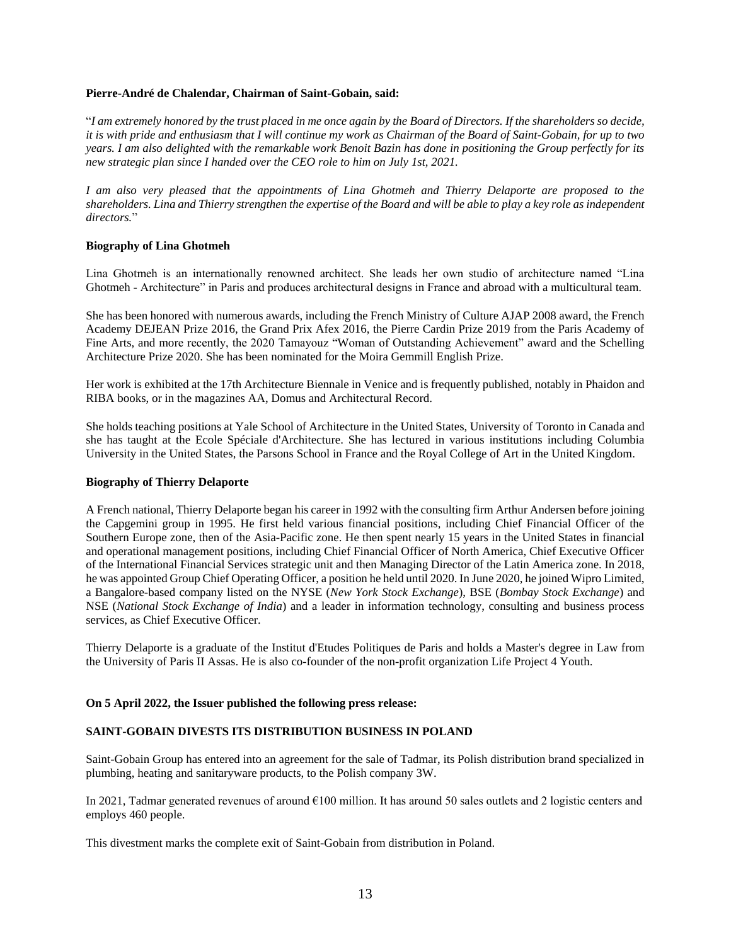#### **Pierre-André de Chalendar, Chairman of Saint-Gobain, said:**

"*I am extremely honored by the trust placed in me once again by the Board of Directors. If the shareholders so decide, it is with pride and enthusiasm that I will continue my work as Chairman of the Board of Saint-Gobain, for up to two years. I am also delighted with the remarkable work Benoit Bazin has done in positioning the Group perfectly for its new strategic plan since I handed over the CEO role to him on July 1st, 2021.*

*I am also very pleased that the appointments of Lina Ghotmeh and Thierry Delaporte are proposed to the shareholders. Lina and Thierry strengthen the expertise of the Board and will be able to play a key role as independent directors.*"

## **Biography of Lina Ghotmeh**

Lina Ghotmeh is an internationally renowned architect. She leads her own studio of architecture named "Lina Ghotmeh - Architecture" in Paris and produces architectural designs in France and abroad with a multicultural team.

She has been honored with numerous awards, including the French Ministry of Culture AJAP 2008 award, the French Academy DEJEAN Prize 2016, the Grand Prix Afex 2016, the Pierre Cardin Prize 2019 from the Paris Academy of Fine Arts, and more recently, the 2020 Tamayouz "Woman of Outstanding Achievement" award and the Schelling Architecture Prize 2020. She has been nominated for the Moira Gemmill English Prize.

Her work is exhibited at the 17th Architecture Biennale in Venice and is frequently published, notably in Phaidon and RIBA books, or in the magazines AA, Domus and Architectural Record.

She holds teaching positions at Yale School of Architecture in the United States, University of Toronto in Canada and she has taught at the Ecole Spéciale d'Architecture. She has lectured in various institutions including Columbia University in the United States, the Parsons School in France and the Royal College of Art in the United Kingdom.

#### **Biography of Thierry Delaporte**

A French national, Thierry Delaporte began his career in 1992 with the consulting firm Arthur Andersen before joining the Capgemini group in 1995. He first held various financial positions, including Chief Financial Officer of the Southern Europe zone, then of the Asia-Pacific zone. He then spent nearly 15 years in the United States in financial and operational management positions, including Chief Financial Officer of North America, Chief Executive Officer of the International Financial Services strategic unit and then Managing Director of the Latin America zone. In 2018, he was appointed Group Chief Operating Officer, a position he held until 2020. In June 2020, he joined Wipro Limited, a Bangalore-based company listed on the NYSE (*New York Stock Exchange*), BSE (*Bombay Stock Exchange*) and NSE (*National Stock Exchange of India*) and a leader in information technology, consulting and business process services, as Chief Executive Officer.

Thierry Delaporte is a graduate of the Institut d'Etudes Politiques de Paris and holds a Master's degree in Law from the University of Paris II Assas. He is also co-founder of the non-profit organization Life Project 4 Youth.

## **On 5 April 2022, the Issuer published the following press release:**

## **SAINT-GOBAIN DIVESTS ITS DISTRIBUTION BUSINESS IN POLAND**

Saint-Gobain Group has entered into an agreement for the sale of Tadmar, its Polish distribution brand specialized in plumbing, heating and sanitaryware products, to the Polish company 3W.

In 2021, Tadmar generated revenues of around €100 million. It has around 50 sales outlets and 2 logistic centers and employs 460 people.

This divestment marks the complete exit of Saint-Gobain from distribution in Poland.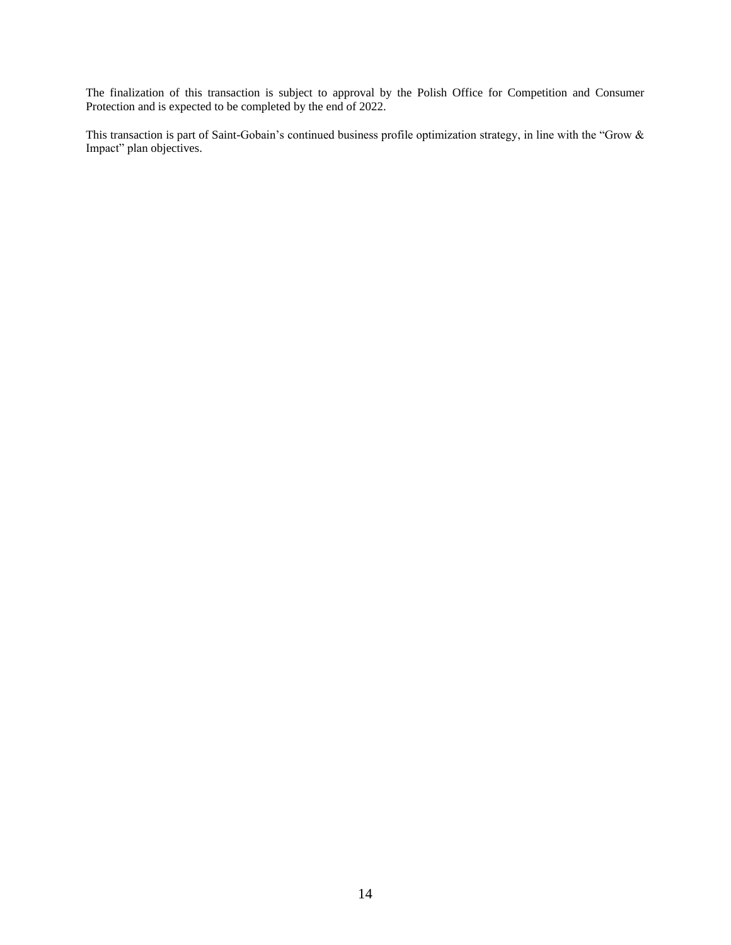The finalization of this transaction is subject to approval by the Polish Office for Competition and Consumer Protection and is expected to be completed by the end of 2022.

This transaction is part of Saint-Gobain's continued business profile optimization strategy, in line with the "Grow & Impact" plan objectives.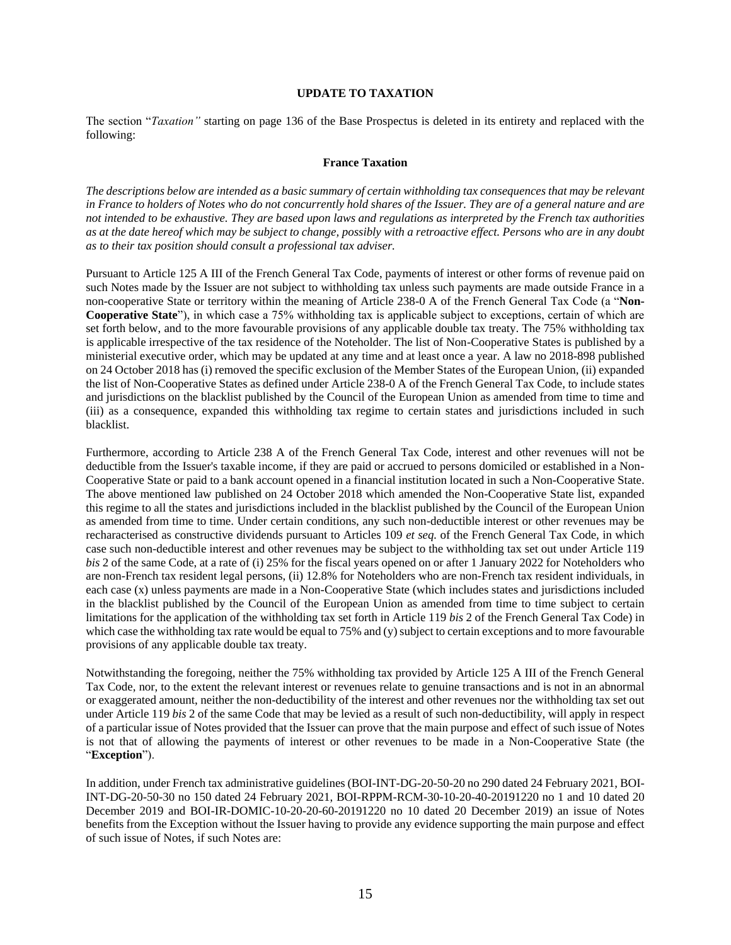## **UPDATE TO TAXATION**

<span id="page-14-0"></span>The section "*Taxation"* starting on page 136 of the Base Prospectus is deleted in its entirety and replaced with the following:

#### **France Taxation**

*The descriptions below are intended as a basic summary of certain withholding tax consequences that may be relevant in France to holders of Notes who do not concurrently hold shares of the Issuer. They are of a general nature and are not intended to be exhaustive. They are based upon laws and regulations as interpreted by the French tax authorities as at the date hereof which may be subject to change, possibly with a retroactive effect. Persons who are in any doubt as to their tax position should consult a professional tax adviser.*

Pursuant to Article 125 A III of the French General Tax Code, payments of interest or other forms of revenue paid on such Notes made by the Issuer are not subject to withholding tax unless such payments are made outside France in a non-cooperative State or territory within the meaning of Article 238-0 A of the French General Tax Code (a "**Non-Cooperative State**"), in which case a 75% withholding tax is applicable subject to exceptions, certain of which are set forth below, and to the more favourable provisions of any applicable double tax treaty. The 75% withholding tax is applicable irrespective of the tax residence of the Noteholder. The list of Non-Cooperative States is published by a ministerial executive order, which may be updated at any time and at least once a year. A law no 2018-898 published on 24 October 2018 has (i) removed the specific exclusion of the Member States of the European Union, (ii) expanded the list of Non-Cooperative States as defined under Article 238-0 A of the French General Tax Code, to include states and jurisdictions on the blacklist published by the Council of the European Union as amended from time to time and (iii) as a consequence, expanded this withholding tax regime to certain states and jurisdictions included in such blacklist.

Furthermore, according to Article 238 A of the French General Tax Code, interest and other revenues will not be deductible from the Issuer's taxable income, if they are paid or accrued to persons domiciled or established in a Non-Cooperative State or paid to a bank account opened in a financial institution located in such a Non-Cooperative State. The above mentioned law published on 24 October 2018 which amended the Non-Cooperative State list, expanded this regime to all the states and jurisdictions included in the blacklist published by the Council of the European Union as amended from time to time. Under certain conditions, any such non-deductible interest or other revenues may be recharacterised as constructive dividends pursuant to Articles 109 *et seq.* of the French General Tax Code, in which case such non-deductible interest and other revenues may be subject to the withholding tax set out under Article 119 *bis* 2 of the same Code, at a rate of (i) 25% for the fiscal years opened on or after 1 January 2022 for Noteholders who are non-French tax resident legal persons, (ii) 12.8% for Noteholders who are non-French tax resident individuals, in each case (x) unless payments are made in a Non-Cooperative State (which includes states and jurisdictions included in the blacklist published by the Council of the European Union as amended from time to time subject to certain limitations for the application of the withholding tax set forth in Article 119 *bis* 2 of the French General Tax Code) in which case the withholding tax rate would be equal to 75% and (y) subject to certain exceptions and to more favourable provisions of any applicable double tax treaty.

Notwithstanding the foregoing, neither the 75% withholding tax provided by Article 125 A III of the French General Tax Code, nor, to the extent the relevant interest or revenues relate to genuine transactions and is not in an abnormal or exaggerated amount, neither the non-deductibility of the interest and other revenues nor the withholding tax set out under Article 119 *bis* 2 of the same Code that may be levied as a result of such non-deductibility, will apply in respect of a particular issue of Notes provided that the Issuer can prove that the main purpose and effect of such issue of Notes is not that of allowing the payments of interest or other revenues to be made in a Non-Cooperative State (the "**Exception**").

In addition, under French tax administrative guidelines (BOI-INT-DG-20-50-20 no 290 dated 24 February 2021, BOI-INT-DG-20-50-30 no 150 dated 24 February 2021, BOI-RPPM-RCM-30-10-20-40-20191220 no 1 and 10 dated 20 December 2019 and BOI-IR-DOMIC-10-20-20-60-20191220 no 10 dated 20 December 2019) an issue of Notes benefits from the Exception without the Issuer having to provide any evidence supporting the main purpose and effect of such issue of Notes, if such Notes are: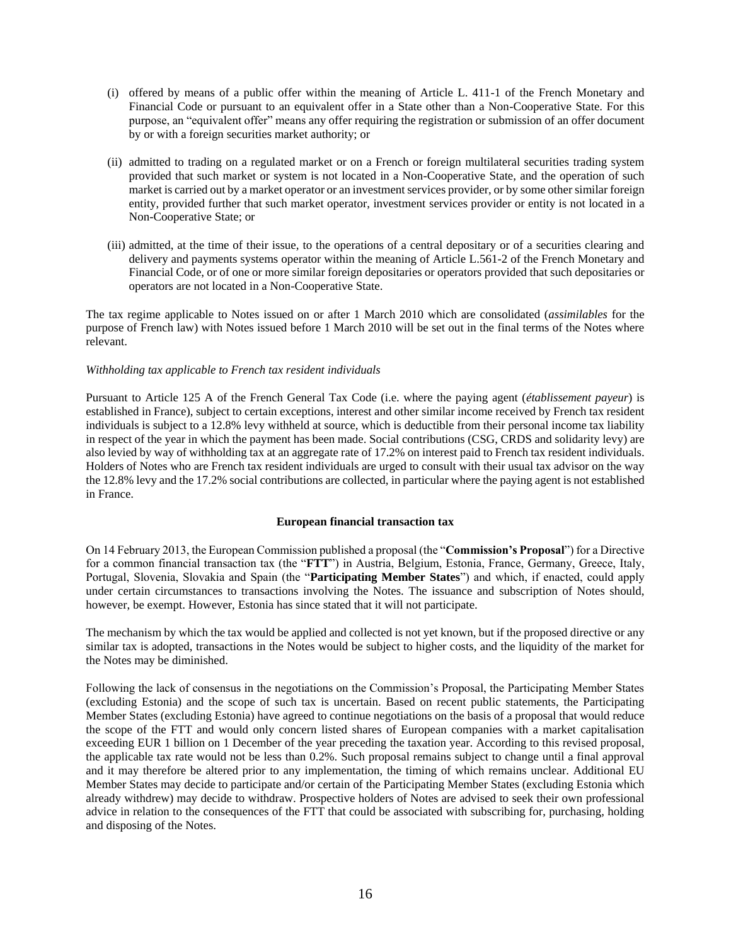- (i) offered by means of a public offer within the meaning of Article L. 411-1 of the French Monetary and Financial Code or pursuant to an equivalent offer in a State other than a Non-Cooperative State. For this purpose, an "equivalent offer" means any offer requiring the registration or submission of an offer document by or with a foreign securities market authority; or
- (ii) admitted to trading on a regulated market or on a French or foreign multilateral securities trading system provided that such market or system is not located in a Non-Cooperative State, and the operation of such market is carried out by a market operator or an investment services provider, or by some other similar foreign entity, provided further that such market operator, investment services provider or entity is not located in a Non-Cooperative State; or
- (iii) admitted, at the time of their issue, to the operations of a central depositary or of a securities clearing and delivery and payments systems operator within the meaning of Article L.561-2 of the French Monetary and Financial Code, or of one or more similar foreign depositaries or operators provided that such depositaries or operators are not located in a Non-Cooperative State.

The tax regime applicable to Notes issued on or after 1 March 2010 which are consolidated (*assimilables* for the purpose of French law) with Notes issued before 1 March 2010 will be set out in the final terms of the Notes where relevant.

## *Withholding tax applicable to French tax resident individuals*

Pursuant to Article 125 A of the French General Tax Code (i.e. where the paying agent (*établissement payeur*) is established in France), subject to certain exceptions, interest and other similar income received by French tax resident individuals is subject to a 12.8% levy withheld at source, which is deductible from their personal income tax liability in respect of the year in which the payment has been made. Social contributions (CSG, CRDS and solidarity levy) are also levied by way of withholding tax at an aggregate rate of 17.2% on interest paid to French tax resident individuals. Holders of Notes who are French tax resident individuals are urged to consult with their usual tax advisor on the way the 12.8% levy and the 17.2% social contributions are collected, in particular where the paying agent is not established in France.

## **European financial transaction tax**

On 14 February 2013, the European Commission published a proposal (the "**Commission's Proposal**") for a Directive for a common financial transaction tax (the "**FTT**") in Austria, Belgium, Estonia, France, Germany, Greece, Italy, Portugal, Slovenia, Slovakia and Spain (the "**Participating Member States**") and which, if enacted, could apply under certain circumstances to transactions involving the Notes. The issuance and subscription of Notes should, however, be exempt. However, Estonia has since stated that it will not participate.

The mechanism by which the tax would be applied and collected is not yet known, but if the proposed directive or any similar tax is adopted, transactions in the Notes would be subject to higher costs, and the liquidity of the market for the Notes may be diminished.

Following the lack of consensus in the negotiations on the Commission's Proposal, the Participating Member States (excluding Estonia) and the scope of such tax is uncertain. Based on recent public statements, the Participating Member States (excluding Estonia) have agreed to continue negotiations on the basis of a proposal that would reduce the scope of the FTT and would only concern listed shares of European companies with a market capitalisation exceeding EUR 1 billion on 1 December of the year preceding the taxation year. According to this revised proposal, the applicable tax rate would not be less than 0.2%. Such proposal remains subject to change until a final approval and it may therefore be altered prior to any implementation, the timing of which remains unclear. Additional EU Member States may decide to participate and/or certain of the Participating Member States (excluding Estonia which already withdrew) may decide to withdraw. Prospective holders of Notes are advised to seek their own professional advice in relation to the consequences of the FTT that could be associated with subscribing for, purchasing, holding and disposing of the Notes.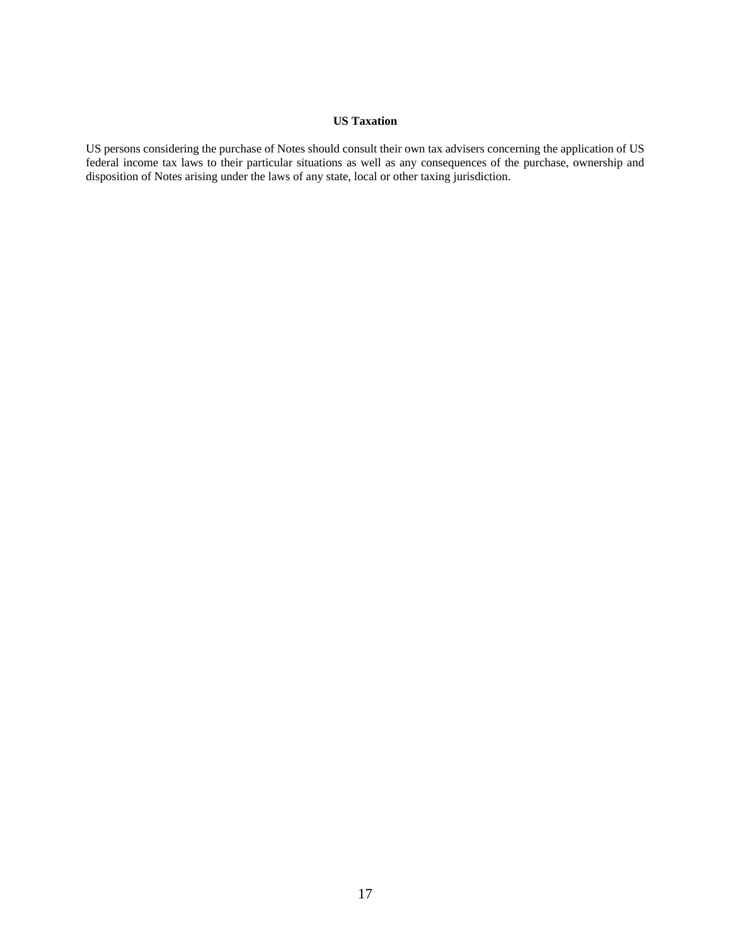## **US Taxation**

US persons considering the purchase of Notes should consult their own tax advisers concerning the application of US federal income tax laws to their particular situations as well as any consequences of the purchase, ownership and disposition of Notes arising under the laws of any state, local or other taxing jurisdiction.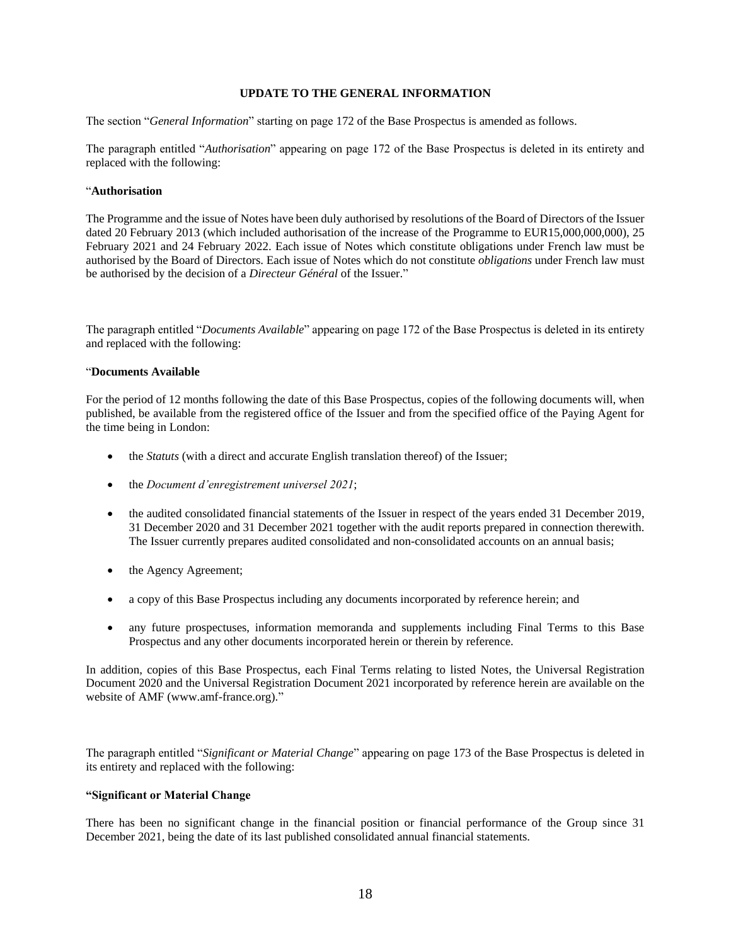#### **UPDATE TO THE GENERAL INFORMATION**

<span id="page-17-0"></span>The section "*General Information*" starting on page 172 of the Base Prospectus is amended as follows.

The paragraph entitled "*Authorisation*" appearing on page 172 of the Base Prospectus is deleted in its entirety and replaced with the following:

## "**Authorisation**

The Programme and the issue of Notes have been duly authorised by resolutions of the Board of Directors of the Issuer dated 20 February 2013 (which included authorisation of the increase of the Programme to EUR15,000,000,000), 25 February 2021 and 24 February 2022. Each issue of Notes which constitute obligations under French law must be authorised by the Board of Directors. Each issue of Notes which do not constitute *obligations* under French law must be authorised by the decision of a *Directeur Général* of the Issuer."

The paragraph entitled "*Documents Available*" appearing on page 172 of the Base Prospectus is deleted in its entirety and replaced with the following:

## "**Documents Available**

For the period of 12 months following the date of this Base Prospectus, copies of the following documents will, when published, be available from the registered office of the Issuer and from the specified office of the Paying Agent for the time being in London:

- the *Statuts* (with a direct and accurate English translation thereof) of the Issuer;
- the *Document d'enregistrement universel 2021*;
- the audited consolidated financial statements of the Issuer in respect of the years ended 31 December 2019, 31 December 2020 and 31 December 2021 together with the audit reports prepared in connection therewith. The Issuer currently prepares audited consolidated and non-consolidated accounts on an annual basis;
- the Agency Agreement;
- a copy of this Base Prospectus including any documents incorporated by reference herein; and
- any future prospectuses, information memoranda and supplements including Final Terms to this Base Prospectus and any other documents incorporated herein or therein by reference.

In addition, copies of this Base Prospectus, each Final Terms relating to listed Notes, the Universal Registration Document 2020 and the Universal Registration Document 2021 incorporated by reference herein are available on the website of AMF (www.amf-france.org)."

The paragraph entitled "*Significant or Material Change*" appearing on page 173 of the Base Prospectus is deleted in its entirety and replaced with the following:

## **"Significant or Material Change**

There has been no significant change in the financial position or financial performance of the Group since 31 December 2021, being the date of its last published consolidated annual financial statements.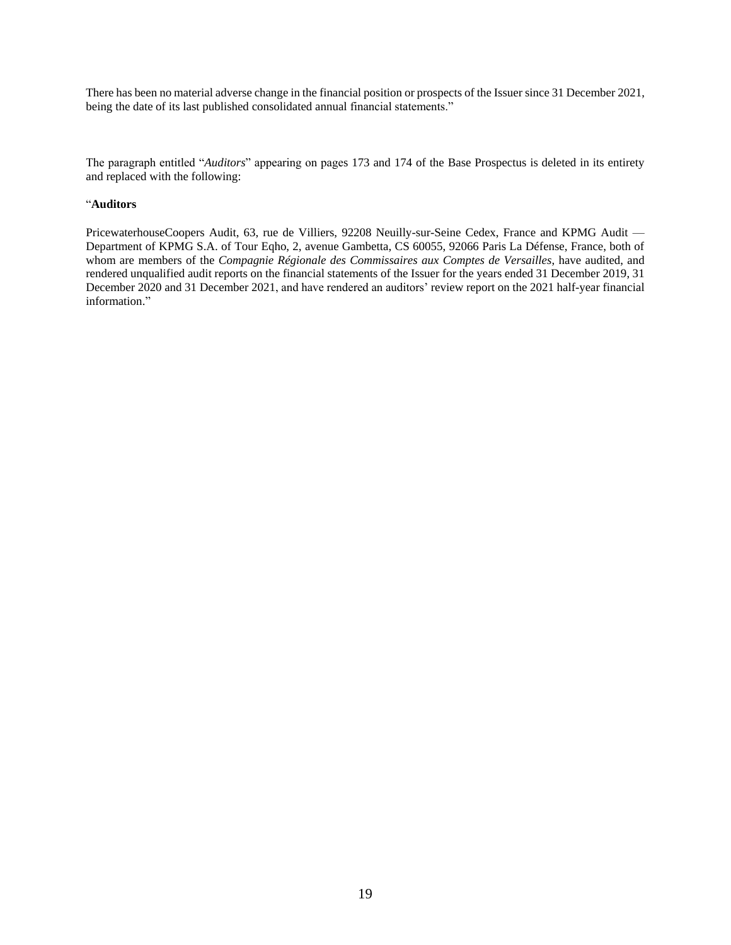There has been no material adverse change in the financial position or prospects of the Issuer since 31 December 2021, being the date of its last published consolidated annual financial statements."

The paragraph entitled "*Auditors*" appearing on pages 173 and 174 of the Base Prospectus is deleted in its entirety and replaced with the following:

#### "**Auditors**

PricewaterhouseCoopers Audit, 63, rue de Villiers, 92208 Neuilly-sur-Seine Cedex, France and KPMG Audit — Department of KPMG S.A. of Tour Eqho, 2, avenue Gambetta, CS 60055, 92066 Paris La Défense, France, both of whom are members of the *Compagnie Régionale des Commissaires aux Comptes de Versailles*, have audited, and rendered unqualified audit reports on the financial statements of the Issuer for the years ended 31 December 2019, 31 December 2020 and 31 December 2021, and have rendered an auditors' review report on the 2021 half-year financial information."